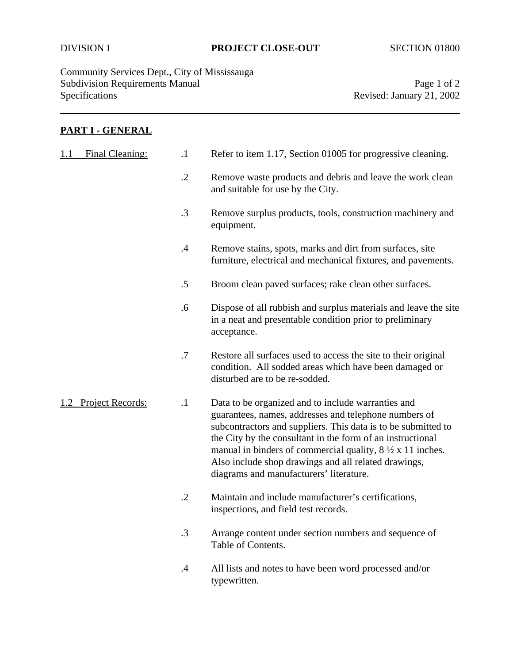Community Services Dept., City of Mississauga Subdivision Requirements Manual Page 1 of 2<br>Specifications Page 1 of 2<br>Revised: January 21, 2002

Revised: January 21, 2002

## **PART I - GENERAL**

| Final Cleaning:<br>1.1 | $\cdot$ 1  | Refer to item 1.17, Section 01005 for progressive cleaning.                                                                                                                                                                                                                                                                                                                                                                |
|------------------------|------------|----------------------------------------------------------------------------------------------------------------------------------------------------------------------------------------------------------------------------------------------------------------------------------------------------------------------------------------------------------------------------------------------------------------------------|
|                        | $\cdot$ .2 | Remove waste products and debris and leave the work clean<br>and suitable for use by the City.                                                                                                                                                                                                                                                                                                                             |
|                        | $\cdot$ 3  | Remove surplus products, tools, construction machinery and<br>equipment.                                                                                                                                                                                                                                                                                                                                                   |
|                        | $\cdot$ 4  | Remove stains, spots, marks and dirt from surfaces, site<br>furniture, electrical and mechanical fixtures, and pavements.                                                                                                                                                                                                                                                                                                  |
|                        | .5         | Broom clean paved surfaces; rake clean other surfaces.                                                                                                                                                                                                                                                                                                                                                                     |
|                        | .6         | Dispose of all rubbish and surplus materials and leave the site<br>in a neat and presentable condition prior to preliminary<br>acceptance.                                                                                                                                                                                                                                                                                 |
|                        | .7         | Restore all surfaces used to access the site to their original<br>condition. All sodded areas which have been damaged or<br>disturbed are to be re-sodded.                                                                                                                                                                                                                                                                 |
| Project Records:       | $\cdot$ 1  | Data to be organized and to include warranties and<br>guarantees, names, addresses and telephone numbers of<br>subcontractors and suppliers. This data is to be submitted to<br>the City by the consultant in the form of an instructional<br>manual in binders of commercial quality, $8\frac{1}{2} \times 11$ inches.<br>Also include shop drawings and all related drawings,<br>diagrams and manufacturers' literature. |
|                        | $\cdot$ .2 | Maintain and include manufacturer's certifications,<br>inspections, and field test records.                                                                                                                                                                                                                                                                                                                                |
|                        | $\cdot$ 3  | Arrange content under section numbers and sequence of<br>Table of Contents.                                                                                                                                                                                                                                                                                                                                                |
|                        | $\cdot$ 4  | All lists and notes to have been word processed and/or<br>typewritten.                                                                                                                                                                                                                                                                                                                                                     |